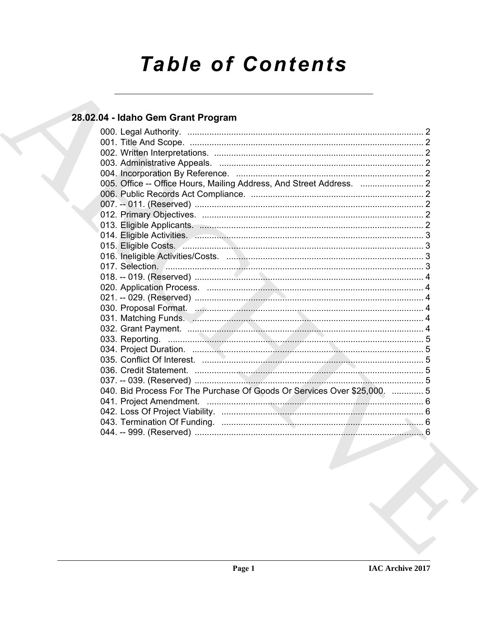# **Table of Contents**

# 28.02.04 - Idaho Gem Grant Program

| 005. Office -- Office Hours, Mailing Address, And Street Address.  2     |  |
|--------------------------------------------------------------------------|--|
|                                                                          |  |
|                                                                          |  |
|                                                                          |  |
|                                                                          |  |
|                                                                          |  |
|                                                                          |  |
|                                                                          |  |
|                                                                          |  |
|                                                                          |  |
|                                                                          |  |
|                                                                          |  |
|                                                                          |  |
|                                                                          |  |
|                                                                          |  |
|                                                                          |  |
|                                                                          |  |
|                                                                          |  |
|                                                                          |  |
|                                                                          |  |
| 040. Bid Process For The Purchase Of Goods Or Services Over \$25,000.  5 |  |
|                                                                          |  |
|                                                                          |  |
|                                                                          |  |
|                                                                          |  |
|                                                                          |  |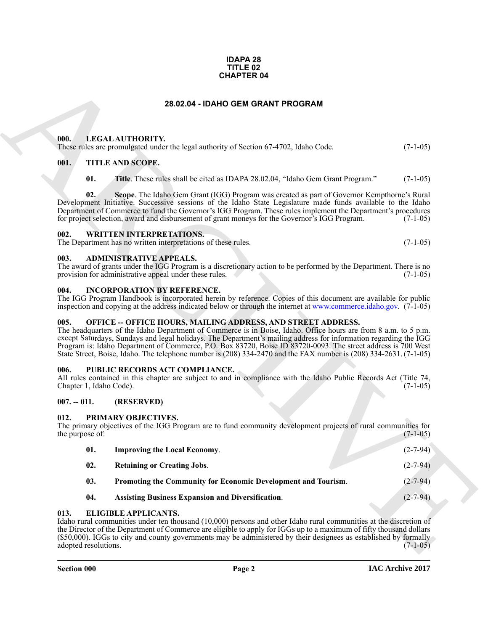#### **IDAPA 28 TITLE 02 CHAPTER 04**

### **28.02.04 - IDAHO GEM GRANT PROGRAM**

#### <span id="page-1-1"></span><span id="page-1-0"></span>**000. LEGAL AUTHORITY.**

#### <span id="page-1-2"></span>**001. TITLE AND SCOPE.**

#### <span id="page-1-3"></span>**002. WRITTEN INTERPRETATIONS.**

#### <span id="page-1-4"></span>**003. ADMINISTRATIVE APPEALS.**

#### <span id="page-1-5"></span>**004. INCORPORATION BY REFERENCE.**

#### <span id="page-1-6"></span>**005. OFFICE -- OFFICE HOURS, MAILING ADDRESS, AND STREET ADDRESS.**

#### <span id="page-1-7"></span>**006. PUBLIC RECORDS ACT COMPLIANCE.**

#### <span id="page-1-8"></span>**007. -- 011. (RESERVED)**

#### <span id="page-1-16"></span><span id="page-1-14"></span><span id="page-1-12"></span><span id="page-1-9"></span>**012. PRIMARY OBJECTIVES.**

|                                 | <b>CHAPTER 04</b>                                                                                                                                                                                                                                                                                                                                                                                                                                                                                                                         |                |  |  |  |
|---------------------------------|-------------------------------------------------------------------------------------------------------------------------------------------------------------------------------------------------------------------------------------------------------------------------------------------------------------------------------------------------------------------------------------------------------------------------------------------------------------------------------------------------------------------------------------------|----------------|--|--|--|
|                                 | 28.02.04 - IDAHO GEM GRANT PROGRAM                                                                                                                                                                                                                                                                                                                                                                                                                                                                                                        |                |  |  |  |
| 000.                            | LEGAL AUTHORITY.<br>These rules are promulgated under the legal authority of Section 67-4702, Idaho Code.                                                                                                                                                                                                                                                                                                                                                                                                                                 | $(7-1-05)$     |  |  |  |
| 001.                            | <b>TITLE AND SCOPE.</b>                                                                                                                                                                                                                                                                                                                                                                                                                                                                                                                   |                |  |  |  |
| 01.                             | Title. These rules shall be cited as IDAPA 28.02.04, "Idaho Gem Grant Program."                                                                                                                                                                                                                                                                                                                                                                                                                                                           | $(7-1-05)$     |  |  |  |
| 02.                             | Scope. The Idaho Gem Grant (IGG) Program was created as part of Governor Kempthorne's Rural<br>Development Initiative. Successive sessions of the Idaho State Legislature made funds available to the Idaho<br>Department of Commerce to fund the Governor's IGG Program. These rules implement the Department's procedures<br>for project selection, award and disbursement of grant moneys for the Governor's IGG Program.                                                                                                              | $(7-1-05)$     |  |  |  |
| 002.                            | <b>WRITTEN INTERPRETATIONS.</b><br>The Department has no written interpretations of these rules.                                                                                                                                                                                                                                                                                                                                                                                                                                          | $(7-1-05)$     |  |  |  |
| 003.                            | <b>ADMINISTRATIVE APPEALS.</b><br>The award of grants under the IGG Program is a discretionary action to be performed by the Department. There is no<br>provision for administrative appeal under these rules.                                                                                                                                                                                                                                                                                                                            | $(7-1-05)$     |  |  |  |
| 004.                            | <b>INCORPORATION BY REFERENCE.</b><br>The IGG Program Handbook is incorporated herein by reference. Copies of this document are available for public<br>inspection and copying at the address indicated below or through the internet at www.commerce.idaho.gov. (7-1-05)                                                                                                                                                                                                                                                                 |                |  |  |  |
| 005.                            | OFFICE -- OFFICE HOURS, MAILING ADDRESS, AND STREET ADDRESS.<br>The headquarters of the Idaho Department of Commerce is in Boise, Idaho. Office hours are from 8 a.m. to 5 p.m.<br>except Saturdays, Sundays and legal holidays. The Department's mailing address for information regarding the IGG<br>Program is: Idaho Department of Commerce, P.O. Box 83720, Boise ID 83720-0093. The street address is 700 West<br>State Street, Boise, Idaho. The telephone number is (208) 334-2470 and the FAX number is (208) 334-2631. (7-1-05) |                |  |  |  |
| 006.<br>Chapter 1, Idaho Code). | PUBLIC RECORDS ACT COMPLIANCE.<br>All rules contained in this chapter are subject to and in compliance with the Idaho Public Records Act (Title 74,                                                                                                                                                                                                                                                                                                                                                                                       | $(7-1-05)$     |  |  |  |
| $007. - 011.$                   | (RESERVED)                                                                                                                                                                                                                                                                                                                                                                                                                                                                                                                                |                |  |  |  |
| 012.<br>the purpose of:         | PRIMARY OBJECTIVES.<br>The primary objectives of the IGG Program are to fund community development projects of rural communities for                                                                                                                                                                                                                                                                                                                                                                                                      | $(7-1-05)$     |  |  |  |
| 01.                             | <b>Improving the Local Economy.</b>                                                                                                                                                                                                                                                                                                                                                                                                                                                                                                       | $(2 - 7 - 94)$ |  |  |  |
| 02.                             | <b>Retaining or Creating Jobs.</b>                                                                                                                                                                                                                                                                                                                                                                                                                                                                                                        | $(2 - 7 - 94)$ |  |  |  |
| 03.                             | Promoting the Community for Economic Development and Tourism.                                                                                                                                                                                                                                                                                                                                                                                                                                                                             | $(2 - 7 - 94)$ |  |  |  |
| 04.                             | <b>Assisting Business Expansion and Diversification.</b>                                                                                                                                                                                                                                                                                                                                                                                                                                                                                  | $(2 - 7 - 94)$ |  |  |  |
| 013.<br>adopted resolutions.    | <b>ELIGIBLE APPLICANTS.</b><br>Idaho rural communities under ten thousand (10,000) persons and other Idaho rural communities at the discretion of<br>the Director of the Department of Commerce are eligible to apply for IGGs up to a maximum of fifty thousand dollars<br>(\$50,000). IGGs to city and county governments may be administered by their designees as established by formally                                                                                                                                             | $(7-1-05)$     |  |  |  |

#### <span id="page-1-15"></span><span id="page-1-13"></span><span id="page-1-11"></span><span id="page-1-10"></span>**013. ELIGIBLE APPLICANTS.**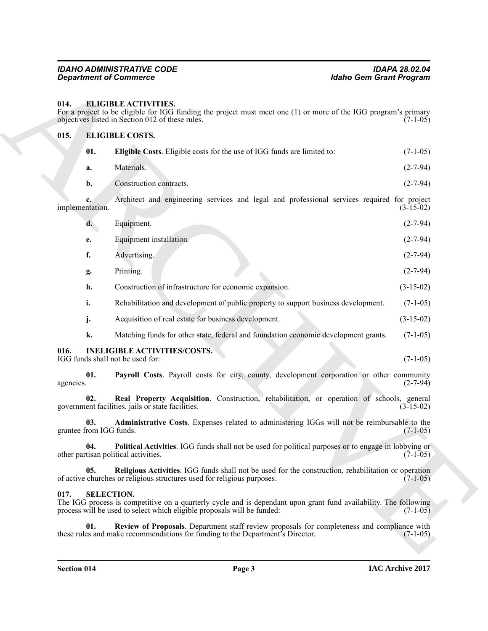#### <span id="page-2-13"></span><span id="page-2-12"></span><span id="page-2-11"></span><span id="page-2-10"></span><span id="page-2-9"></span><span id="page-2-8"></span><span id="page-2-7"></span><span id="page-2-6"></span><span id="page-2-5"></span><span id="page-2-4"></span><span id="page-2-3"></span><span id="page-2-2"></span><span id="page-2-1"></span><span id="page-2-0"></span>**014. ELIGIBLE ACTIVITIES.**

| <b>Department of Commerce</b>                                                                                                                                                                                            | <b>Idaho Gem Grant Program</b> |
|--------------------------------------------------------------------------------------------------------------------------------------------------------------------------------------------------------------------------|--------------------------------|
| <b>ELIGIBLE ACTIVITIES.</b><br>014.<br>For a project to be eligible for IGG funding the project must meet one (1) or more of the IGG program's primary<br>objectives listed in Section 012 of these rules.               | $(7-1-05)$                     |
| 015.<br><b>ELIGIBLE COSTS.</b>                                                                                                                                                                                           |                                |
| 01.<br>Eligible Costs. Eligible costs for the use of IGG funds are limited to:                                                                                                                                           | $(7-1-05)$                     |
| Materials.<br>a.                                                                                                                                                                                                         | $(2 - 7 - 94)$                 |
| Construction contracts.<br>b.                                                                                                                                                                                            | $(2 - 7 - 94)$                 |
| Architect and engineering services and legal and professional services required for project<br>implementation.                                                                                                           | $(3-15-02)$                    |
| Equipment.<br>d.                                                                                                                                                                                                         | $(2 - 7 - 94)$                 |
| Equipment installation.<br>e.                                                                                                                                                                                            | $(2 - 7 - 94)$                 |
| f.<br>Advertising.                                                                                                                                                                                                       | $(2-7-94)$                     |
| Printing.<br>g.                                                                                                                                                                                                          | $(2 - 7 - 94)$                 |
| Construction of infrastructure for economic expansion.<br>h.                                                                                                                                                             | $(3-15-02)$                    |
| Rehabilitation and development of public property to support business development.<br>i.                                                                                                                                 | $(7-1-05)$                     |
| Acquisition of real estate for business development.<br>j.                                                                                                                                                               | $(3-15-02)$                    |
| Matching funds for other state, federal and foundation economic development grants.<br>k.                                                                                                                                | $(7-1-05)$                     |
| <b>INELIGIBLE ACTIVITIES/COSTS.</b><br>016.<br>IGG funds shall not be used for:                                                                                                                                          | $(7-1-05)$                     |
| Payroll Costs. Payroll costs for city, county, development corporation or other community<br>01.<br>agencies.                                                                                                            | $(2-7-94)$                     |
| Real Property Acquisition. Construction, rehabilitation, or operation of schools, general<br>02.<br>government facilities, jails or state facilities.                                                                    | $(3-15-02)$                    |
| Administrative Costs. Expenses related to administering IGGs will not be reimbursable to the<br>03.<br>grantee from IGG funds.                                                                                           | $(7-1-05)$                     |
| <b>Political Activities.</b> IGG funds shall not be used for political purposes or to engage in lobbying or<br>04.<br>other partisan political activities.                                                               | $(7-1-05)$                     |
| Religious Activities. IGG funds shall not be used for the construction, rehabilitation or operation<br>05.<br>of active churches or religious structures used for religious purposes.                                    | $(7-1-05)$                     |
| <b>SELECTION.</b><br>017.<br>The IGG process is competitive on a quarterly cycle and is dependant upon grant fund availability. The following<br>process will be used to select which eligible proposals will be funded: | $(7-1-05)$                     |
| Review of Proposals. Department staff review proposals for completeness and compliance with<br>01.<br>these rules and make recommendations for funding to the Department's Director.                                     | $(7-1-05)$                     |
|                                                                                                                                                                                                                          |                                |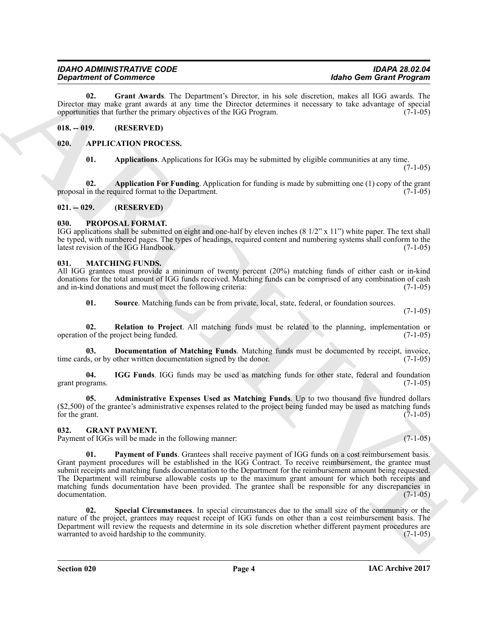# *IDAHO ADMINISTRATIVE CODE IDAPA 28.02.04*

<span id="page-3-19"></span>**02. Grant Awards**. The Department's Director, in his sole discretion, makes all IGG awards. The Director may make grant awards at any time the Director determines it necessary to take advantage of special opportunities that further the primary objectives of the IGG Program. (7-1-05) opportunities that further the primary objectives of the IGG Program.

#### <span id="page-3-0"></span>**018. -- 019. (RESERVED)**

#### <span id="page-3-1"></span>**020. APPLICATION PROCESS.**

<span id="page-3-8"></span><span id="page-3-7"></span><span id="page-3-6"></span>**01. Applications**. Applications for IGGs may be submitted by eligible communities at any time. (7-1-05)

**02. Application For Funding**. Application for funding is made by submitting one (1) copy of the grant in the required format to the Department. (7-1-05) proposal in the required format to the Department.

<span id="page-3-2"></span>**021. -- 029. (RESERVED)**

#### <span id="page-3-18"></span><span id="page-3-3"></span>**030. PROPOSAL FORMAT.**

IGG applications shall be submitted on eight and one-half by eleven inches (8 1/2" x 11") white paper. The text shall be typed, with numbered pages. The types of headings, required content and numbering systems shall conform to the latest revision of the IGG Handbook. (7-1-05)

#### <span id="page-3-12"></span><span id="page-3-4"></span>**031. MATCHING FUNDS.**

All IGG grantees must provide a minimum of twenty percent (20%) matching funds of either cash or in-kind donations for the total amount of IGG funds received. Matching funds can be comprised of any combination of cash and in-kind donations and must meet the following criteria: (7-1-05)

<span id="page-3-17"></span><span id="page-3-16"></span><span id="page-3-14"></span>**01. Source**. Matching funds can be from private, local, state, federal, or foundation sources.

 $(7-1-05)$ 

**02. Relation to Project**. All matching funds must be related to the planning, implementation or 1 of the project being funded. (7-1-05) operation of the project being funded.

**03. Documentation of Matching Funds**. Matching funds must be documented by receipt, invoice, time cards, or by other written documentation signed by the donor. (7-1-05)

<span id="page-3-15"></span>**04. IGG Funds**. IGG funds may be used as matching funds for other state, federal and foundation grant programs. (7-1-05)

<span id="page-3-13"></span>**05. Administrative Expenses Used as Matching Funds**. Up to two thousand five hundred dollars (\$2,500) of the grantee's administrative expenses related to the project being funded may be used as matching funds for the grant.  $(7-1-05)$ for the grant.  $(7-1-05)$ 

#### <span id="page-3-9"></span><span id="page-3-5"></span>**032. GRANT PAYMENT.**

<span id="page-3-10"></span>Payment of IGGs will be made in the following manner: (7-1-05)

**Equivalent of Construction** (a) the Department Decretine, as the pole test can make our distribution of the property of the state of the state of the state of the state of the state of the state of the state of the state **01.** Payment of Funds. Grantees shall receive payment of IGG funds on a cost reimbursement basis. Grant payment procedures will be established in the IGG Contract. To receive reimbursement, the grantee must submit receipts and matching funds documentation to the Department for the reimbursement amount being requested. The Department will reimburse allowable costs up to the maximum grant amount for which both receipts and matching funds documentation have been provided. The grantee shall be responsible for any discrepancies in documentation. (7-1-05) documentation.

<span id="page-3-11"></span>**02. Special Circumstances**. In special circumstances due to the small size of the community or the nature of the project, grantees may request receipt of IGG funds on other than a cost reimbursement basis. The Department will review the requests and determine in its sole discretion whether different payment procedures are warranted to avoid hardship to the community. warranted to avoid hardship to the community.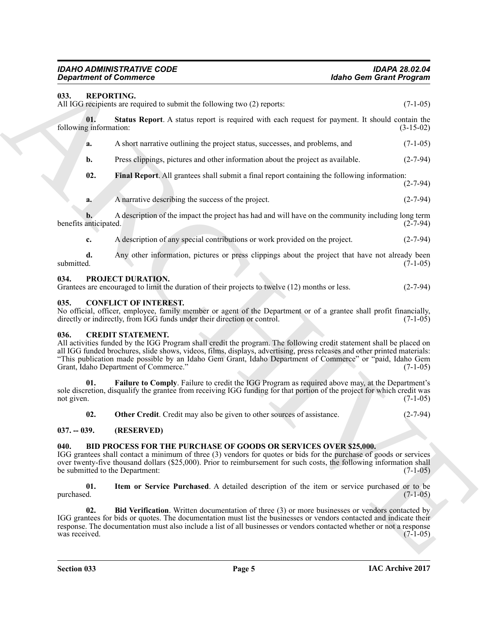<span id="page-4-16"></span><span id="page-4-15"></span><span id="page-4-14"></span><span id="page-4-0"></span>

|               | <b>Department of Commerce</b>                                                                                                                                                                                                                                                                                                                                                                                                     | <b>Idaho Gem Grant Program</b>                                                                          |                |
|---------------|-----------------------------------------------------------------------------------------------------------------------------------------------------------------------------------------------------------------------------------------------------------------------------------------------------------------------------------------------------------------------------------------------------------------------------------|---------------------------------------------------------------------------------------------------------|----------------|
| 033.          | <b>REPORTING.</b><br>All IGG recipients are required to submit the following two (2) reports:                                                                                                                                                                                                                                                                                                                                     |                                                                                                         | $(7-1-05)$     |
|               | 01.<br>following information:                                                                                                                                                                                                                                                                                                                                                                                                     | Status Report. A status report is required with each request for payment. It should contain the         | $(3-15-02)$    |
|               | A short narrative outlining the project status, successes, and problems, and<br>a.                                                                                                                                                                                                                                                                                                                                                |                                                                                                         | $(7-1-05)$     |
|               | Press clippings, pictures and other information about the project as available.<br>b.                                                                                                                                                                                                                                                                                                                                             |                                                                                                         | $(2 - 7 - 94)$ |
|               | 02.                                                                                                                                                                                                                                                                                                                                                                                                                               | Final Report. All grantees shall submit a final report containing the following information:            | $(2 - 7 - 94)$ |
|               | A narrative describing the success of the project.<br>a.                                                                                                                                                                                                                                                                                                                                                                          |                                                                                                         | $(2 - 7 - 94)$ |
|               | b.<br>benefits anticipated.                                                                                                                                                                                                                                                                                                                                                                                                       | A description of the impact the project has had and will have on the community including long term      | $(2-7-94)$     |
|               | A description of any special contributions or work provided on the project.<br>c.                                                                                                                                                                                                                                                                                                                                                 |                                                                                                         | $(2 - 7 - 94)$ |
| submitted.    | d.                                                                                                                                                                                                                                                                                                                                                                                                                                | Any other information, pictures or press clippings about the project that have not already been         | $(7-1-05)$     |
| 034.          | <b>PROJECT DURATION.</b><br>Grantees are encouraged to limit the duration of their projects to twelve (12) months or less.                                                                                                                                                                                                                                                                                                        |                                                                                                         | $(2 - 7 - 94)$ |
| 035.          | <b>CONFLICT OF INTEREST.</b><br>No official, officer, employee, family member or agent of the Department or of a grantee shall profit financially,<br>directly or indirectly, from IGG funds under their direction or control.                                                                                                                                                                                                    |                                                                                                         | $(7-1-05)$     |
| 036.          | <b>CREDIT STATEMENT.</b><br>All activities funded by the IGG Program shall credit the program. The following credit statement shall be placed on<br>all IGG funded brochures, slide shows, videos, films, displays, advertising, press releases and other printed materials:<br>"This publication made possible by an Idaho Gem Grant, Idaho Department of Commerce" or "paid, Idaho Gem<br>Grant, Idaho Department of Commerce." |                                                                                                         | $(7-1-05)$     |
| not given.    | 01.<br>sole discretion, disqualify the grantee from receiving IGG funding for that portion of the project for which credit was                                                                                                                                                                                                                                                                                                    | Failure to Comply. Failure to credit the IGG Program as required above may, at the Department's         | $(7-1-05)$     |
|               | Other Credit. Credit may also be given to other sources of assistance.<br>02.                                                                                                                                                                                                                                                                                                                                                     |                                                                                                         | $(2 - 7 - 94)$ |
| $037. - 039.$ | (RESERVED)                                                                                                                                                                                                                                                                                                                                                                                                                        |                                                                                                         |                |
| 040.          | <b>BID PROCESS FOR THE PURCHASE OF GOODS OR SERVICES OVER \$25,000.</b><br>IGG grantees shall contact a minimum of three (3) vendors for quotes or bids for the purchase of goods or services<br>over twenty-five thousand dollars (\$25,000). Prior to reimbursement for such costs, the following information shall<br>be submitted to the Department:                                                                          |                                                                                                         | $(7-1-05)$     |
| purchased.    | 01.                                                                                                                                                                                                                                                                                                                                                                                                                               | Item or Service Purchased. A detailed description of the item or service purchased or to be             | $(7-1-05)$     |
| was received. | 02.<br>IGG grantees for bids or quotes. The documentation must list the businesses or vendors contacted and indicate their<br>response. The documentation must also include a list of all businesses or vendors contacted whether or not a response                                                                                                                                                                               | <b>Bid Verification</b> . Written documentation of three (3) or more businesses or vendors contacted by | $(7-1-05)$     |
|               |                                                                                                                                                                                                                                                                                                                                                                                                                                   |                                                                                                         |                |

### <span id="page-4-13"></span><span id="page-4-12"></span><span id="page-4-11"></span><span id="page-4-10"></span><span id="page-4-9"></span><span id="page-4-8"></span><span id="page-4-7"></span><span id="page-4-6"></span><span id="page-4-5"></span><span id="page-4-4"></span><span id="page-4-3"></span><span id="page-4-2"></span><span id="page-4-1"></span>**040. BID PROCESS FOR THE PURCHASE OF GOODS OR SERVICES OVER \$25,000.**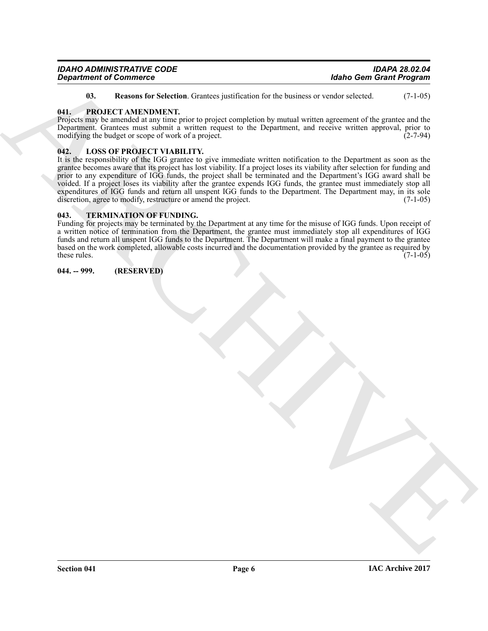| <b>IDAHO ADMINISTRATIVE CODE</b> | IDAPA 28.02.04                 |
|----------------------------------|--------------------------------|
| <b>Department of Commerce</b>    | <b>Idaho Gem Grant Program</b> |

<span id="page-5-6"></span><span id="page-5-5"></span><span id="page-5-4"></span>**03.** Reasons for Selection. Grantees justification for the business or vendor selected. (7-1-05)

#### <span id="page-5-0"></span>**041. PROJECT AMENDMENT.**

Projects may be amended at any time prior to project completion by mutual written agreement of the grantee and the Department. Grantees must submit a written request to the Department, and receive written approval, prior to modifying the budget or scope of work of a project. (2-7-94)

#### <span id="page-5-1"></span>**042. LOSS OF PROJECT VIABILITY.**

**Equivalent of Commission Commission** Statistics particular in the beames of scalar statistics  $\langle v_1, v_2 \rangle$ <br> **ARCHIVE A MANUFACTION CONTINUES CONTINUES CONTINUES CONTINUES CONTINUES CONTINUES CONTINUES CONTINUES CONTINUE** It is the responsibility of the IGG grantee to give immediate written notification to the Department as soon as the grantee becomes aware that its project has lost viability. If a project loses its viability after selection for funding and prior to any expenditure of IGG funds, the project shall be terminated and the Department's IGG award shall be voided. If a project loses its viability after the grantee expends IGG funds, the grantee must immediately stop all expenditures of IGG funds and return all unspent IGG funds to the Department. The Department may, in its sole discretion, agree to modify, restructure or amend the project. (7-1-05) discretion, agree to modify, restructure or amend the project.

#### <span id="page-5-2"></span>**043. TERMINATION OF FUNDING.**

Funding for projects may be terminated by the Department at any time for the misuse of IGG funds. Upon receipt of a written notice of termination from the Department, the grantee must immediately stop all expenditures of IGG funds and return all unspent IGG funds to the Department. The Department will make a final payment to the grantee based on the work completed, allowable costs incurred and the documentation provided by the grantee as required by these rules.  $(7-1-05)$ 

<span id="page-5-3"></span>**044. -- 999. (RESERVED)**